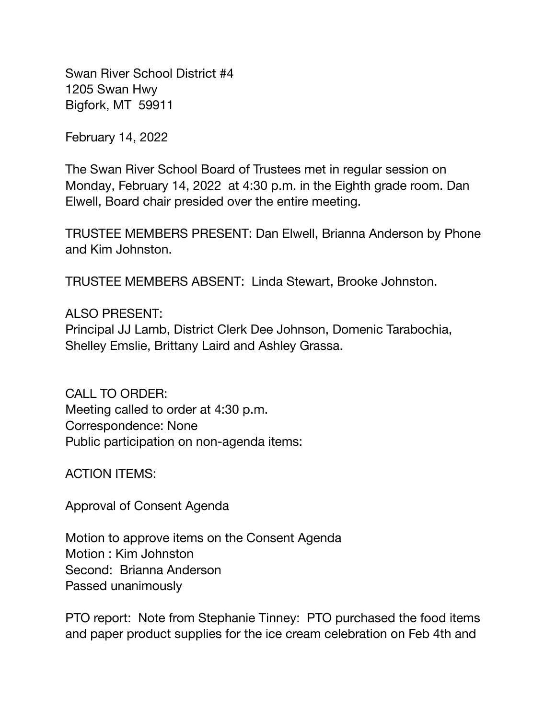Swan River School District #4 1205 Swan Hwy Bigfork, MT 59911

February 14, 2022

The Swan River School Board of Trustees met in regular session on Monday, February 14, 2022 at 4:30 p.m. in the Eighth grade room. Dan Elwell, Board chair presided over the entire meeting.

TRUSTEE MEMBERS PRESENT: Dan Elwell, Brianna Anderson by Phone and Kim Johnston.

TRUSTEE MEMBERS ABSENT: Linda Stewart, Brooke Johnston.

## ALSO PRESENT:

Principal JJ Lamb, District Clerk Dee Johnson, Domenic Tarabochia, Shelley Emslie, Brittany Laird and Ashley Grassa.

CALL TO ORDER: Meeting called to order at 4:30 p.m. Correspondence: None Public participation on non-agenda items:

ACTION ITEMS:

Approval of Consent Agenda

Motion to approve items on the Consent Agenda Motion : Kim Johnston Second: Brianna Anderson Passed unanimously

PTO report: Note from Stephanie Tinney: PTO purchased the food items and paper product supplies for the ice cream celebration on Feb 4th and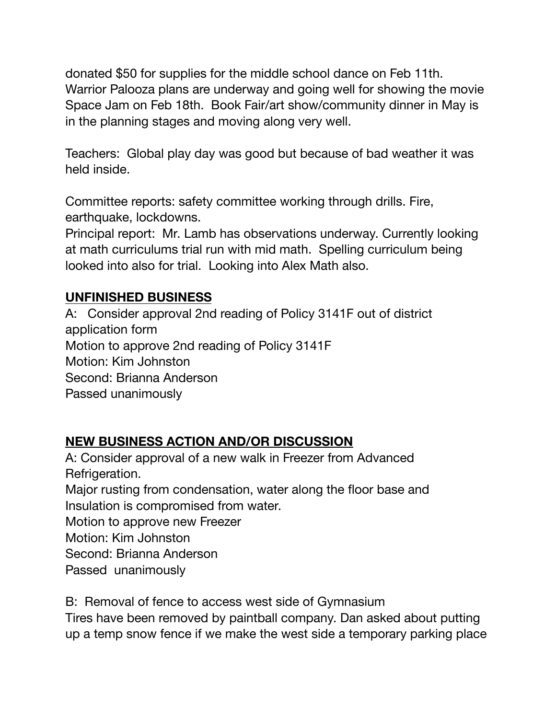donated \$50 for supplies for the middle school dance on Feb 11th. Warrior Palooza plans are underway and going well for showing the movie Space Jam on Feb 18th. Book Fair/art show/community dinner in May is in the planning stages and moving along very well.

Teachers: Global play day was good but because of bad weather it was held inside.

Committee reports: safety committee working through drills. Fire, earthquake, lockdowns.

Principal report: Mr. Lamb has observations underway. Currently looking at math curriculums trial run with mid math. Spelling curriculum being looked into also for trial. Looking into Alex Math also.

## **UNFINISHED BUSINESS**

A: Consider approval 2nd reading of Policy 3141F out of district application form Motion to approve 2nd reading of Policy 3141F Motion: Kim Johnston Second: Brianna Anderson Passed unanimously

## **NEW BUSINESS ACTION AND/OR DISCUSSION**

A: Consider approval of a new walk in Freezer from Advanced Refrigeration. Major rusting from condensation, water along the floor base and Insulation is compromised from water. Motion to approve new Freezer Motion: Kim Johnston Second: Brianna Anderson Passed unanimously

B: Removal of fence to access west side of Gymnasium Tires have been removed by paintball company. Dan asked about putting up a temp snow fence if we make the west side a temporary parking place